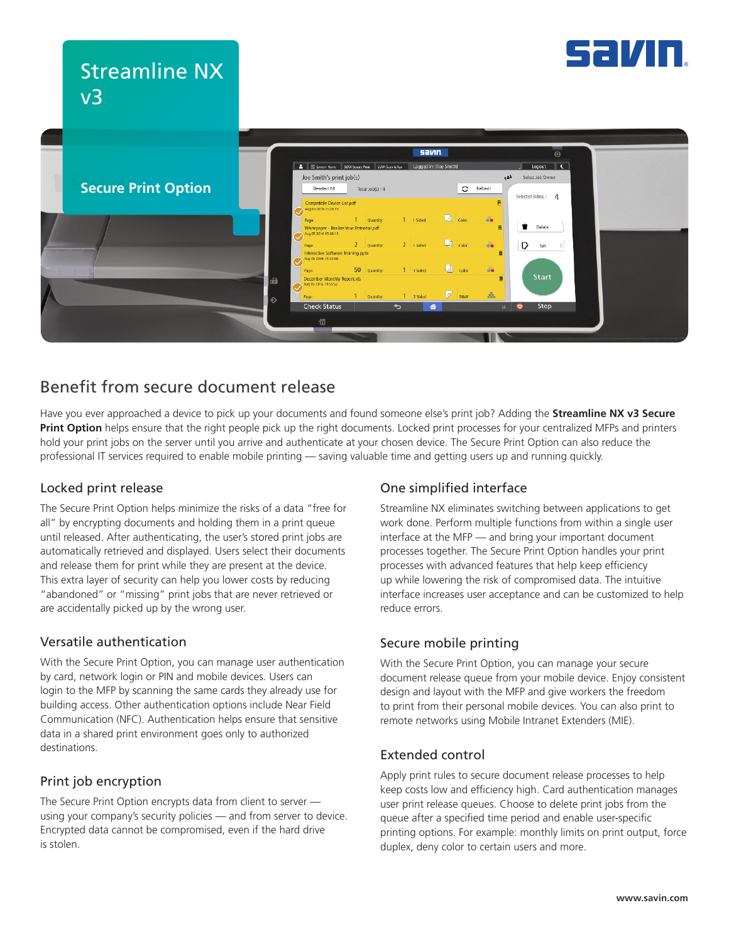

# Streamline NX v3



# Benefit from secure document release

Have you ever approached a device to pick up your documents and found someone else's print job? Adding the **Streamline NX v3 Secure Print Option** helps ensure that the right people pick up the right documents. Locked print processes for your centralized MFPs and printers hold your print jobs on the server until you arrive and authenticate at your chosen device. The Secure Print Option can also reduce the professional IT services required to enable mobile printing — saving valuable time and getting users up and running quickly.

#### Locked print release

The Secure Print Option helps minimize the risks of a data "free for all" by encrypting documents and holding them in a print queue until released. After authenticating, the user's stored print jobs are automatically retrieved and displayed. Users select their documents and release them for print while they are present at the device. This extra layer of security can help you lower costs by reducing "abandoned" or "missing" print jobs that are never retrieved or are accidentally picked up by the wrong user.

#### Versatile authentication

With the Secure Print Option, you can manage user authentication by card, network login or PIN and mobile devices. Users can login to the MFP by scanning the same cards they already use for building access. Other authentication options include Near Field Communication (NFC). Authentication helps ensure that sensitive data in a shared print environment goes only to authorized destinations.

#### Print job encryption

The Secure Print Option encrypts data from client to server using your company's security policies — and from server to device. Encrypted data cannot be compromised, even if the hard drive is stolen.

## One simplified interface

Streamline NX eliminates switching between applications to get work done. Perform multiple functions from within a single user interface at the MFP — and bring your important document processes together. The Secure Print Option handles your print processes with advanced features that help keep efficiency up while lowering the risk of compromised data. The intuitive interface increases user acceptance and can be customized to help reduce errors.

## Secure mobile printing

With the Secure Print Option, you can manage your secure document release queue from your mobile device. Enjoy consistent design and layout with the MFP and give workers the freedom to print from their personal mobile devices. You can also print to remote networks using Mobile Intranet Extenders (MIE).

## Extended control

Apply print rules to secure document release processes to help keep costs low and efficiency high. Card authentication manages user print release queues. Choose to delete print jobs from the queue after a specified time period and enable user-specific printing options. For example: monthly limits on print output, force duplex, deny color to certain users and more.